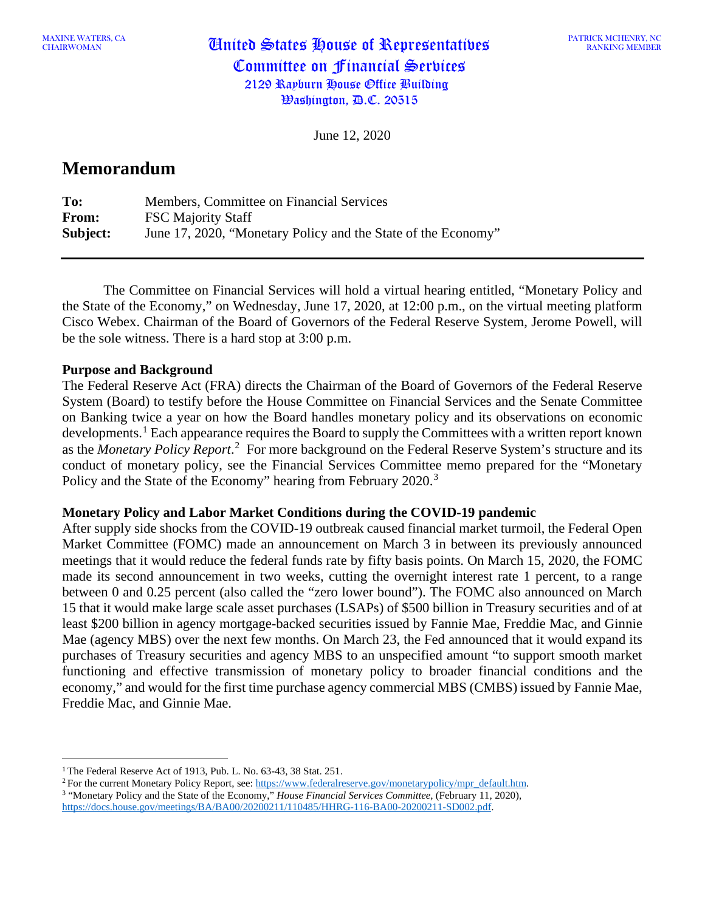MAAINE WATERS, CA **United States House of Representatives** Committee on Financial Services 2129 Rayburn House Office Building Washington, D.C. 20515

June 12, 2020

# **Memorandum**

| To:      | Members, Committee on Financial Services                      |
|----------|---------------------------------------------------------------|
| From:    | <b>FSC Majority Staff</b>                                     |
| Subject: | June 17, 2020, "Monetary Policy and the State of the Economy" |

The Committee on Financial Services will hold a virtual hearing entitled, "Monetary Policy and the State of the Economy," on Wednesday, June 17, 2020, at 12:00 p.m., on the virtual meeting platform Cisco Webex. Chairman of the Board of Governors of the Federal Reserve System, Jerome Powell, will be the sole witness. There is a hard stop at 3:00 p.m.

## **Purpose and Background**

The Federal Reserve Act (FRA) directs the Chairman of the Board of Governors of the Federal Reserve System (Board) to testify before the House Committee on Financial Services and the Senate Committee on Banking twice a year on how the Board handles monetary policy and its observations on economic developments.<sup>[1](#page-0-0)</sup> Each appearance requires the Board to supply the Committees with a written report known as the *Monetary Policy Report*.<sup>[2](#page-0-1)</sup> For more background on the Federal Reserve System's structure and its conduct of monetary policy, see the Financial Services Committee memo prepared for the "Monetary Policy and the State of the Economy" hearing from February 2020.<sup>[3](#page-0-2)</sup>

### **Monetary Policy and Labor Market Conditions during the COVID-19 pandemic**

After supply side shocks from the COVID-19 outbreak caused financial market turmoil, the Federal Open Market Committee (FOMC) made an announcement on March 3 in between its previously announced meetings that it would reduce the federal funds rate by fifty basis points. On March 15, 2020, the FOMC made its second announcement in two weeks, cutting the overnight interest rate 1 percent, to a range between 0 and 0.25 percent (also called the "zero lower bound"). The FOMC also announced on March 15 that it would make large scale asset purchases (LSAPs) of \$500 billion in Treasury securities and of at least \$200 billion in agency mortgage-backed securities issued by Fannie Mae, Freddie Mac, and Ginnie Mae (agency MBS) over the next few months. On March 23, the Fed announced that it would expand its purchases of Treasury securities and agency MBS to an unspecified amount "to support smooth market functioning and effective transmission of monetary policy to broader financial conditions and the economy," and would for the first time purchase agency commercial MBS (CMBS) issued by Fannie Mae, Freddie Mac, and Ginnie Mae.

<span id="page-0-0"></span><sup>&</sup>lt;sup>1</sup> The Federal Reserve Act of 1913, Pub. L. No. 63-43, 38 Stat. 251.

<span id="page-0-2"></span><span id="page-0-1"></span><sup>&</sup>lt;sup>2</sup> For the current Monetary Policy Report, see: [https://www.federalreserve.gov/monetarypolicy/mpr\\_default.htm.](https://www.federalreserve.gov/monetarypolicy/mpr_default.htm) <sup>3</sup> "Monetary Policy and the State of the Economy," *House Financial Services Committee,* (February 11, 2020), [https://docs.house.gov/meetings/BA/BA00/20200211/110485/HHRG-116-BA00-20200211-SD002.pdf.](https://docs.house.gov/meetings/BA/BA00/20200211/110485/HHRG-116-BA00-20200211-SD002.pdf)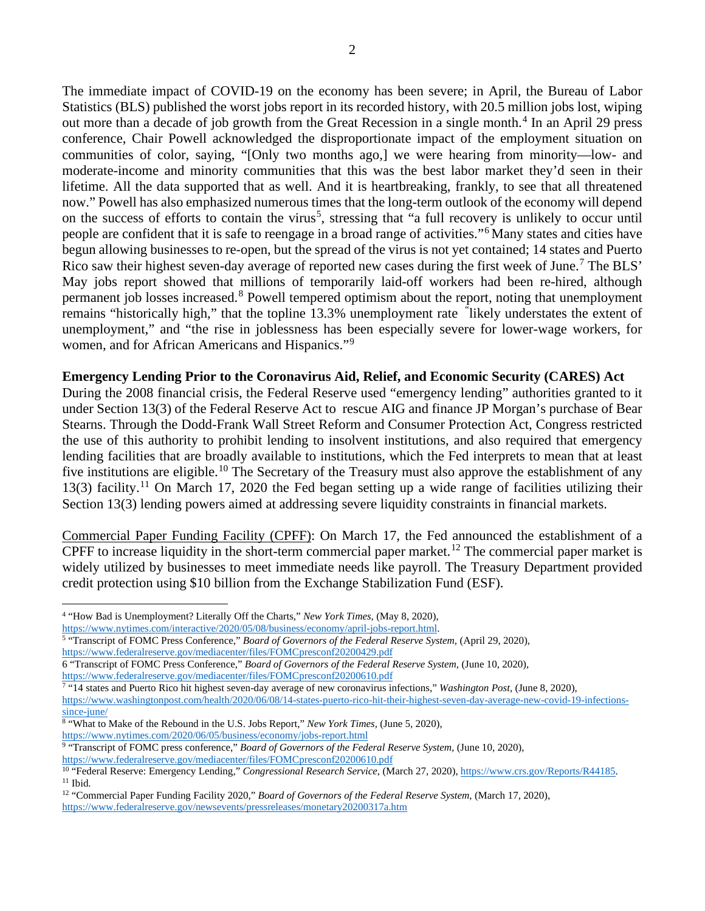The immediate impact of COVID-19 on the economy has been severe; in April, the Bureau of Labor Statistics (BLS) published the worst jobs report in its recorded history, with 20.5 million jobs lost, wiping out more than a decade of job growth from the Great Recession in a single month. [4](#page-1-0) In an April 29 press conference, Chair Powell acknowledged the disproportionate impact of the employment situation on communities of color, saying, "[Only two months ago,] we were hearing from minority—low- and moderate-income and minority communities that this was the best labor market they'd seen in their lifetime. All the data supported that as well. And it is heartbreaking, frankly, to see that all threatened now." Powell has also emphasized numerous times that the long-term outlook of the economy will depend on the success of efforts to contain the virus<sup>[5](#page-1-1)</sup>, stressing that "a full recovery is unlikely to occur until people are confident that it is safe to reengage in a broad range of activities."[6](#page-1-2) Many states and cities have begun allowing businesses to re-open, but the spread of the virus is not yet contained; 14 states and Puerto Rico saw their highest seven-day average of reported new cases during the first week of June.<sup>[7](#page-1-3)</sup> The BLS' May jobs report showed that millions of temporarily laid-off workers had been re-hired, although permanent job losses increased.<sup>[8](#page-1-4)</sup> Powell tempered optimism about the report, noting that unemployment remains "historically high," that the topline 13.3% unemployment rate " likely understates the extent of unemployment," and "the rise in joblessness has been especially severe for lower-wage workers, for women, and for African Americans and Hispanics."<sup>[9](#page-1-5)</sup>

## **Emergency Lending Prior to the Coronavirus Aid, Relief, and Economic Security (CARES) Act**

During the 2008 financial crisis, the Federal Reserve used "emergency lending" authorities granted to it under Section 13(3) of the Federal Reserve Act to rescue AIG and finance JP Morgan's purchase of Bear Stearns. Through the Dodd-Frank Wall Street Reform and Consumer Protection Act, Congress restricted the use of this authority to prohibit lending to insolvent institutions, and also required that emergency lending facilities that are broadly available to institutions, which the Fed interprets to mean that at least five institutions are eligible.<sup>[10](#page-1-6)</sup> The Secretary of the Treasury must also approve the establishment of any 13(3) facility.[11](#page-1-7) On March 17, 2020 the Fed began setting up a wide range of facilities utilizing their Section 13(3) lending powers aimed at addressing severe liquidity constraints in financial markets.

Commercial Paper Funding Facility (CPFF): On March 17, the Fed announced the establishment of a CPFF to increase liquidity in the short-term commercial paper market.<sup>[12](#page-1-8)</sup> The commercial paper market is widely utilized by businesses to meet immediate needs like payroll. The Treasury Department provided credit protection using \$10 billion from the Exchange Stabilization Fund (ESF).

<span id="page-1-0"></span><sup>4</sup> "How Bad is Unemployment? Literally Off the Charts," *New York Times,* (May 8, 2020),

[https://www.nytimes.com/interactive/2020/05/08/business/economy/april-jobs-report.html.](https://www.nytimes.com/interactive/2020/05/08/business/economy/april-jobs-report.html)

<span id="page-1-1"></span><sup>5</sup> "Transcript of FOMC Press Conference," *Board of Governors of the Federal Reserve System,* (April 29, 2020),

<https://www.federalreserve.gov/mediacenter/files/FOMCpresconf20200429.pdf>

<span id="page-1-2"></span><sup>6</sup> "Transcript of FOMC Press Conference," *Board of Governors of the Federal Reserve System,* (June 10, 2020), <https://www.federalreserve.gov/mediacenter/files/FOMCpresconf20200610.pdf>

<span id="page-1-3"></span><sup>7</sup> "14 states and Puerto Rico hit highest seven-day average of new coronavirus infections," *Washington Post,* (June 8, 2020),

[https://www.washingtonpost.com/health/2020/06/08/14-states-puerto-rico-hit-their-highest-seven-day-average-new-covid-19-infections](https://www.washingtonpost.com/health/2020/06/08/14-states-puerto-rico-hit-their-highest-seven-day-average-new-covid-19-infections-since-june/)[since-june/](https://www.washingtonpost.com/health/2020/06/08/14-states-puerto-rico-hit-their-highest-seven-day-average-new-covid-19-infections-since-june/)

<span id="page-1-4"></span><sup>8</sup> "What to Make of the Rebound in the U.S. Jobs Report," *New York Times,* (June 5, 2020), <https://www.nytimes.com/2020/06/05/business/economy/jobs-report.html>

<span id="page-1-5"></span><sup>9</sup> "Transcript of FOMC press conference," *Board of Governors of the Federal Reserve System,* (June 10, 2020), <https://www.federalreserve.gov/mediacenter/files/FOMCpresconf20200610.pdf>

<span id="page-1-7"></span><span id="page-1-6"></span><sup>10</sup> "Federal Reserve: Emergency Lending," *Congressional Research Service,* (March 27, 2020)[, https://www.crs.gov/Reports/R44185.](https://www.crs.gov/Reports/R44185)  $11$  Ibid.

<span id="page-1-8"></span><sup>&</sup>lt;sup>12</sup> "Commercial Paper Funding Facility 2020," *Board of Governors of the Federal Reserve System, (March 17, 2020),* <https://www.federalreserve.gov/newsevents/pressreleases/monetary20200317a.htm>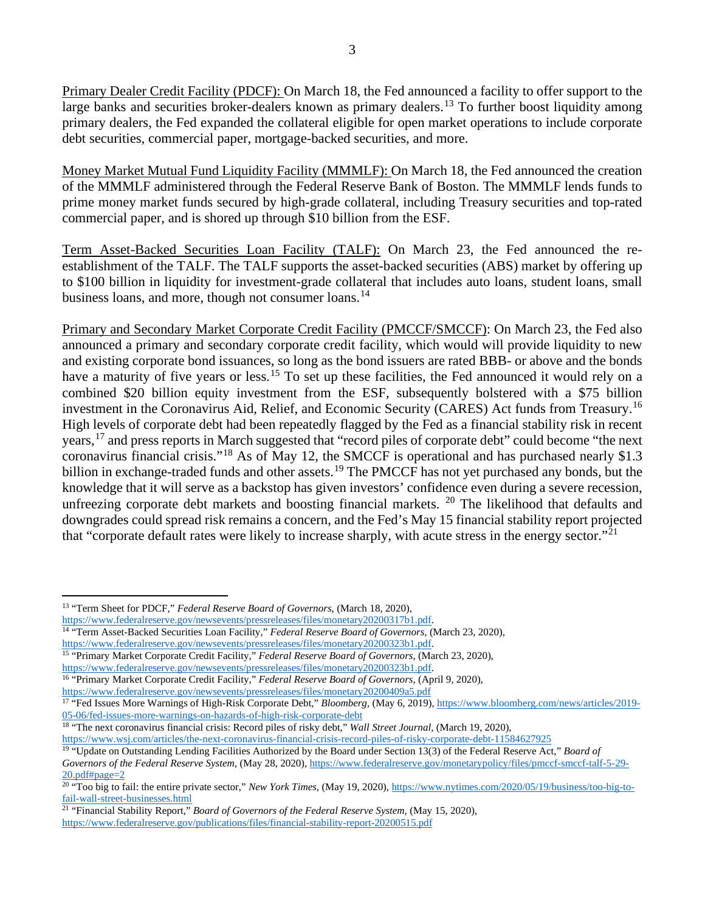Primary Dealer Credit Facility (PDCF): On March 18, the Fed announced a facility to offer support to the large banks and securities broker-dealers known as primary dealers.<sup>[13](#page-2-0)</sup> To further boost liquidity among primary dealers, the Fed expanded the collateral eligible for open market operations to include corporate debt securities, commercial paper, mortgage-backed securities, and more.

Money Market Mutual Fund Liquidity Facility (MMMLF): On March 18, the Fed announced the creation of the MMMLF administered through the Federal Reserve Bank of Boston. The MMMLF lends funds to prime money market funds secured by high-grade collateral, including Treasury securities and top-rated commercial paper, and is shored up through \$10 billion from the ESF.

Term Asset-Backed Securities Loan Facility (TALF): On March 23, the Fed announced the reestablishment of the TALF. The TALF supports the asset-backed securities (ABS) market by offering up to \$100 billion in liquidity for investment-grade collateral that includes auto loans, student loans, small business loans, and more, though not consumer loans.<sup>[14](#page-2-1)</sup>

Primary and Secondary Market Corporate Credit Facility (PMCCF/SMCCF): On March 23, the Fed also announced a primary and secondary corporate credit facility, which would will provide liquidity to new and existing corporate bond issuances, so long as the bond issuers are rated BBB- or above and the bonds have a maturity of five years or less.<sup>[15](#page-2-2)</sup> To set up these facilities, the Fed announced it would rely on a combined \$20 billion equity investment from the ESF, subsequently bolstered with a \$75 billion investment in the Coronavirus Aid, Relief, and Economic Security (CARES) Act funds from Treasury. [16](#page-2-3) High levels of corporate debt had been repeatedly flagged by the Fed as a financial stability risk in recent years,[17](#page-2-4) and press reports in March suggested that "record piles of corporate debt" could become "the next coronavirus financial crisis."<sup>[18](#page-2-5)</sup> As of May 12, the SMCCF is operational and has purchased nearly \$1.3 billion in exchange-traded funds and other assets.<sup>[19](#page-2-6)</sup> The PMCCF has not yet purchased any bonds, but the knowledge that it will serve as a backstop has given investors' confidence even during a severe recession, unfreezing corporate debt markets and boosting financial markets. <sup>[20](#page-2-7)</sup> The likelihood that defaults and downgrades could spread risk remains a concern, and the Fed's May 15 financial stability report projected that "corporate default rates were likely to increase sharply, with acute stress in the energy sector."[21](#page-2-8)

<span id="page-2-0"></span><sup>13</sup> "Term Sheet for PDCF," *Federal Reserve Board of Governors*, (March 18, 2020),

[https://www.federalreserve.gov/newsevents/pressreleases/files/monetary20200317b1.pdf.](https://www.federalreserve.gov/newsevents/pressreleases/files/monetary20200317b1.pdf)

<span id="page-2-1"></span><sup>14</sup> "Term Asset-Backed Securities Loan Facility," *Federal Reserve Board of Governors,* (March 23, 2020), [https://www.federalreserve.gov/newsevents/pressreleases/files/monetary20200323b1.pdf.](https://www.federalreserve.gov/newsevents/pressreleases/files/monetary20200323b1.pdf)

<span id="page-2-2"></span><sup>15</sup> "Primary Market Corporate Credit Facility," *Federal Reserve Board of Governors*, (March 23, 2020), [https://www.federalreserve.gov/newsevents/pressreleases/files/monetary20200323b1.pdf.](https://www.federalreserve.gov/newsevents/pressreleases/files/monetary20200323b1.pdf)

<span id="page-2-3"></span><sup>16</sup> "Primary Market Corporate Credit Facility," *Federal Reserve Board of Governors,* (April 9, 2020),

<https://www.federalreserve.gov/newsevents/pressreleases/files/monetary20200409a5.pdf>

<span id="page-2-4"></span><sup>&</sup>lt;sup>17</sup> "Fed Issues More Warnings of High-Risk Corporate Debt," *Bloomberg*, (May 6, 2019)[, https://www.bloomberg.com/news/articles/2019-](https://www.bloomberg.com/news/articles/2019-05-06/fed-issues-more-warnings-on-hazards-of-high-risk-corporate-debt) [05-06/fed-issues-more-warnings-on-hazards-of-high-risk-corporate-debt](https://www.bloomberg.com/news/articles/2019-05-06/fed-issues-more-warnings-on-hazards-of-high-risk-corporate-debt)

<span id="page-2-5"></span><sup>18</sup> "The next coronavirus financial crisis: Record piles of risky debt," *Wall Street Journal,* (March 19, 2020), <https://www.wsj.com/articles/the-next-coronavirus-financial-crisis-record-piles-of-risky-corporate-debt-11584627925>

<span id="page-2-6"></span><sup>19</sup> "Update on Outstanding Lending Facilities Authorized by the Board under Section 13(3) of the Federal Reserve Act," *Board of Governors of the Federal Reserve System,* (May 28, 2020), [https://www.federalreserve.gov/monetarypolicy/files/pmccf-smccf-talf-5-29-](https://www.federalreserve.gov/monetarypolicy/files/pmccf-smccf-talf-5-29-20.pdf#page=2) [20.pdf#page=2](https://www.federalreserve.gov/monetarypolicy/files/pmccf-smccf-talf-5-29-20.pdf#page=2)

<span id="page-2-7"></span><sup>&</sup>lt;sup>20</sup> "Too big to fail: the entire private sector," *New York Times*, (May 19, 2020), <u>https://www.nytimes.com/2020/05/19/business/too-big-to-</u> [fail-wall-street-businesses.html](https://www.nytimes.com/2020/05/19/business/too-big-to-fail-wall-street-businesses.html)

<span id="page-2-8"></span><sup>21</sup> "Financial Stability Report," *Board of Governors of the Federal Reserve System,* (May 15, 2020), <https://www.federalreserve.gov/publications/files/financial-stability-report-20200515.pdf>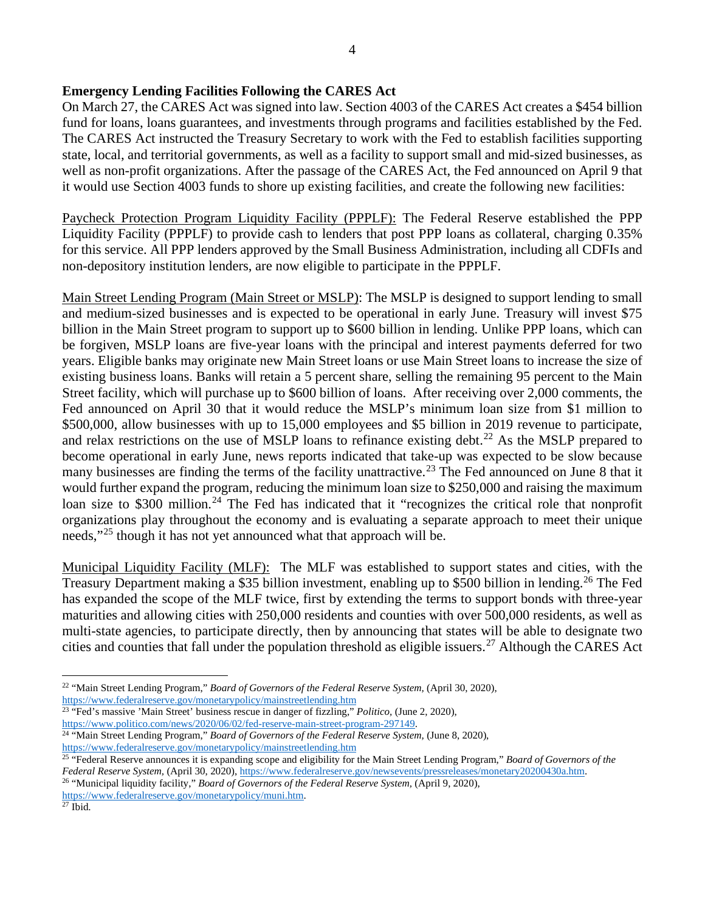# **Emergency Lending Facilities Following the CARES Act**

On March 27, the CARES Act was signed into law. Section 4003 of the CARES Act creates a \$454 billion fund for loans, loans guarantees, and investments through programs and facilities established by the Fed. The CARES Act instructed the Treasury Secretary to work with the Fed to establish facilities supporting state, local, and territorial governments, as well as a facility to support small and mid-sized businesses, as well as non-profit organizations. After the passage of the CARES Act, the Fed announced on April 9 that it would use Section 4003 funds to shore up existing facilities, and create the following new facilities:

Paycheck Protection Program Liquidity Facility (PPPLF): The Federal Reserve established the PPP Liquidity Facility (PPPLF) to provide cash to lenders that post PPP loans as collateral, charging 0.35% for this service. All PPP lenders approved by the Small Business Administration, including all CDFIs and non-depository institution lenders, are now eligible to participate in the PPPLF.

Main Street Lending Program (Main Street or MSLP): The MSLP is designed to support lending to small and medium-sized businesses and is expected to be operational in early June. Treasury will invest \$75 billion in the Main Street program to support up to \$600 billion in lending. Unlike PPP loans, which can be forgiven, MSLP loans are five-year loans with the principal and interest payments deferred for two years. Eligible banks may originate new Main Street loans or use Main Street loans to increase the size of existing business loans. Banks will retain a 5 percent share, selling the remaining 95 percent to the Main Street facility, which will purchase up to \$600 billion of loans. After receiving over 2,000 comments, the Fed announced on April 30 that it would reduce the MSLP's minimum loan size from \$1 million to \$500,000, allow businesses with up to 15,000 employees and \$5 billion in 2019 revenue to participate, and relax restrictions on the use of MSLP loans to refinance existing debt.<sup>[22](#page-3-0)</sup> As the MSLP prepared to become operational in early June, news reports indicated that take-up was expected to be slow because many businesses are finding the terms of the facility unattractive.<sup>[23](#page-3-1)</sup> The Fed announced on June 8 that it would further expand the program, reducing the minimum loan size to \$250,000 and raising the maximum loan size to \$300 million.<sup>[24](#page-3-2)</sup> The Fed has indicated that it "recognizes the critical role that nonprofit organizations play throughout the economy and is evaluating a separate approach to meet their unique needs,"<sup>[25](#page-3-3)</sup> though it has not yet announced what that approach will be.

Municipal Liquidity Facility (MLF): The MLF was established to support states and cities, with the Treasury Department making a \$35 billion investment, enabling up to \$500 billion in lending.<sup>[26](#page-3-4)</sup> The Fed has expanded the scope of the MLF twice, first by extending the terms to support bonds with three-year maturities and allowing cities with 250,000 residents and counties with over 500,000 residents, as well as multi-state agencies, to participate directly, then by announcing that states will be able to designate two cities and counties that fall under the population threshold as eligible issuers.[27](#page-3-5) Although the CARES Act

<span id="page-3-0"></span><sup>&</sup>lt;sup>22</sup> "Main Street Lending Program," *Board of Governors of the Federal Reserve System*, (April 30, 2020), <https://www.federalreserve.gov/monetarypolicy/mainstreetlending.htm>

<span id="page-3-1"></span><sup>&</sup>lt;sup>23</sup> "Fed's massive 'Main Street' business rescue in danger of fizzling," *Politico*, (June 2, 2020), [https://www.politico.com/news/2020/06/02/fed-reserve-main-street-program-297149.](https://www.politico.com/news/2020/06/02/fed-reserve-main-street-program-297149)

<span id="page-3-2"></span><sup>&</sup>lt;sup>24 "</sup>Main Street Lending Program," *Board of Governors of the Federal Reserve System, (June 8, 2020)*, <https://www.federalreserve.gov/monetarypolicy/mainstreetlending.htm>

<span id="page-3-3"></span><sup>25</sup> "Federal Reserve announces it is expanding scope and eligibility for the Main Street Lending Program," *Board of Governors of the Federal Reserve System,* (April 30, 2020)[, https://www.federalreserve.gov/newsevents/pressreleases/monetary20200430a.htm.](https://www.federalreserve.gov/newsevents/pressreleases/monetary20200430a.htm)

<span id="page-3-4"></span><sup>26</sup> "Municipal liquidity facility," *Board of Governors of the Federal Reserve System,* (April 9, 2020),

[https://www.federalreserve.gov/monetarypolicy/muni.htm.](https://www.federalreserve.gov/monetarypolicy/muni.htm)

<span id="page-3-5"></span> $27$  Ibid.